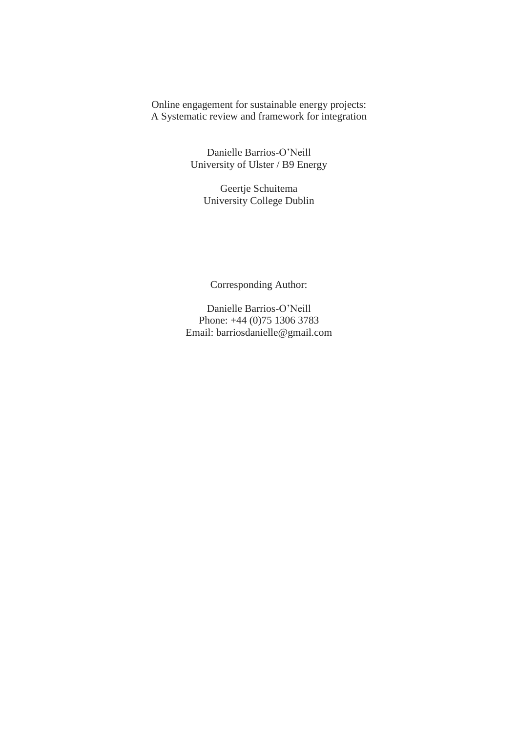Online engagement for sustainable energy projects: A Systematic review and framework for integration

> Danielle Barrios-O'Neill University of Ulster / B9 Energy

Geertje Schuitema University College Dublin

Corresponding Author:

Danielle Barrios-O'Neill Phone: +44 (0)75 1306 3783 Email: barriosdanielle@gmail.com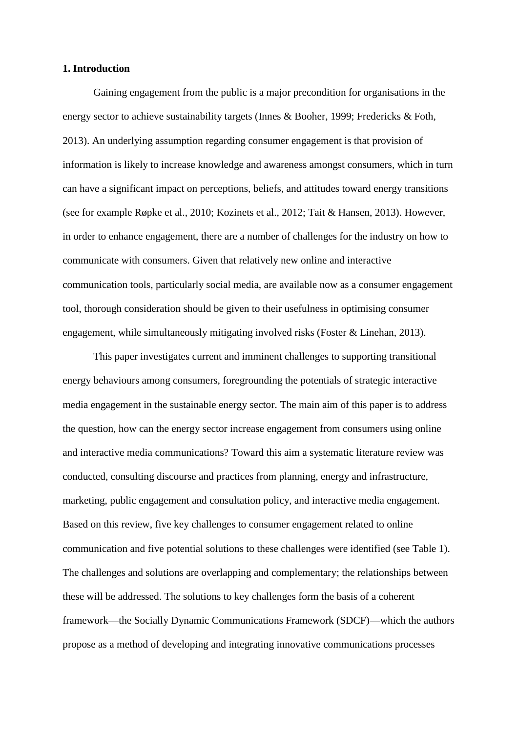## **1. Introduction**

Gaining engagement from the public is a major precondition for organisations in the energy sector to achieve sustainability targets (Innes & Booher, 1999; Fredericks & Foth, 2013). An underlying assumption regarding consumer engagement is that provision of information is likely to increase knowledge and awareness amongst consumers, which in turn can have a significant impact on perceptions, beliefs, and attitudes toward energy transitions (see for example Røpke et al., 2010; Kozinets et al., 2012; Tait & Hansen, 2013). However, in order to enhance engagement, there are a number of challenges for the industry on how to communicate with consumers. Given that relatively new online and interactive communication tools, particularly social media, are available now as a consumer engagement tool, thorough consideration should be given to their usefulness in optimising consumer engagement, while simultaneously mitigating involved risks (Foster & Linehan, 2013).

This paper investigates current and imminent challenges to supporting transitional energy behaviours among consumers, foregrounding the potentials of strategic interactive media engagement in the sustainable energy sector. The main aim of this paper is to address the question, how can the energy sector increase engagement from consumers using online and interactive media communications? Toward this aim a systematic literature review was conducted, consulting discourse and practices from planning, energy and infrastructure, marketing, public engagement and consultation policy, and interactive media engagement. Based on this review, five key challenges to consumer engagement related to online communication and five potential solutions to these challenges were identified (see Table 1). The challenges and solutions are overlapping and complementary; the relationships between these will be addressed. The solutions to key challenges form the basis of a coherent framework—the Socially Dynamic Communications Framework (SDCF)—which the authors propose as a method of developing and integrating innovative communications processes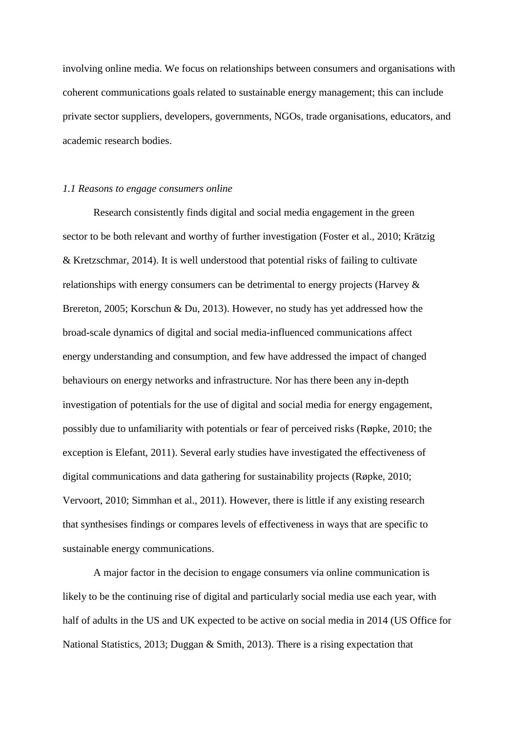involving online media. We focus on relationships between consumers and organisations with coherent communications goals related to sustainable energy management; this can include private sector suppliers, developers, governments, NGOs, trade organisations, educators, and academic research bodies.

#### *1.1 Reasons to engage consumers online*

Research consistently finds digital and social media engagement in the green sector to be both relevant and worthy of further investigation (Foster et al., 2010; Krätzig & Kretzschmar, 2014). It is well understood that potential risks of failing to cultivate relationships with energy consumers can be detrimental to energy projects (Harvey & Brereton, 2005; Korschun & Du, 2013). However, no study has yet addressed how the broad-scale dynamics of digital and social media-influenced communications affect energy understanding and consumption, and few have addressed the impact of changed behaviours on energy networks and infrastructure. Nor has there been any in-depth investigation of potentials for the use of digital and social media for energy engagement, possibly due to unfamiliarity with potentials or fear of perceived risks (Røpke, 2010; the exception is Elefant, 2011). Several early studies have investigated the effectiveness of digital communications and data gathering for sustainability projects (Røpke, 2010; Vervoort, 2010; Simmhan et al., 2011). However, there is little if any existing research that synthesises findings or compares levels of effectiveness in ways that are specific to sustainable energy communications.

A major factor in the decision to engage consumers via online communication is likely to be the continuing rise of digital and particularly social media use each year, with half of adults in the US and UK expected to be active on social media in 2014 (US Office for National Statistics, 2013; Duggan & Smith, 2013). There is a rising expectation that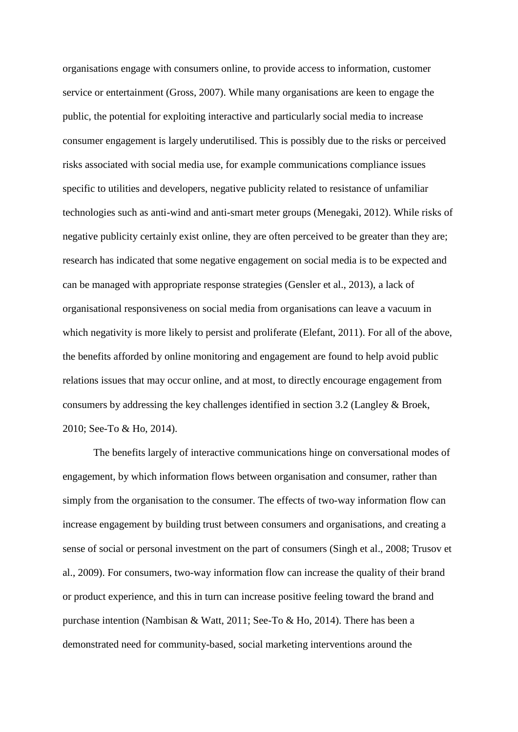organisations engage with consumers online, to provide access to information, customer service or entertainment (Gross, 2007). While many organisations are keen to engage the public, the potential for exploiting interactive and particularly social media to increase consumer engagement is largely underutilised. This is possibly due to the risks or perceived risks associated with social media use, for example communications compliance issues specific to utilities and developers, negative publicity related to resistance of unfamiliar technologies such as anti-wind and anti-smart meter groups (Menegaki, 2012). While risks of negative publicity certainly exist online, they are often perceived to be greater than they are; research has indicated that some negative engagement on social media is to be expected and can be managed with appropriate response strategies (Gensler et al., 2013), a lack of organisational responsiveness on social media from organisations can leave a vacuum in which negativity is more likely to persist and proliferate (Elefant, 2011). For all of the above, the benefits afforded by online monitoring and engagement are found to help avoid public relations issues that may occur online, and at most, to directly encourage engagement from consumers by addressing the key challenges identified in section 3.2 (Langley & Broek, 2010; See-To & Ho, 2014).

The benefits largely of interactive communications hinge on conversational modes of engagement, by which information flows between organisation and consumer, rather than simply from the organisation to the consumer. The effects of two-way information flow can increase engagement by building trust between consumers and organisations, and creating a sense of social or personal investment on the part of consumers (Singh et al., 2008; Trusov et al., 2009). For consumers, two-way information flow can increase the quality of their brand or product experience, and this in turn can increase positive feeling toward the brand and purchase intention (Nambisan & Watt, 2011; See-To & Ho, 2014). There has been a demonstrated need for community-based, social marketing interventions around the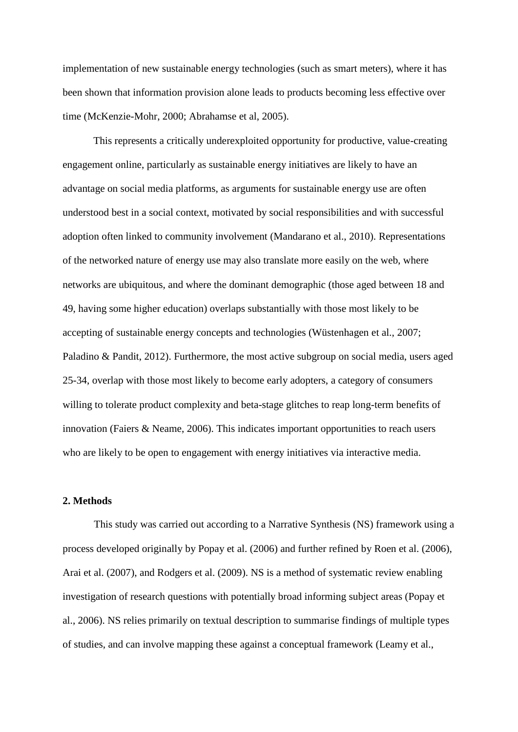implementation of new sustainable energy technologies (such as smart meters), where it has been shown that information provision alone leads to products becoming less effective over time (McKenzie-Mohr, 2000; Abrahamse et al, 2005).

This represents a critically underexploited opportunity for productive, value-creating engagement online, particularly as sustainable energy initiatives are likely to have an advantage on social media platforms, as arguments for sustainable energy use are often understood best in a social context, motivated by social responsibilities and with successful adoption often linked to community involvement (Mandarano et al., 2010). Representations of the networked nature of energy use may also translate more easily on the web, where networks are ubiquitous, and where the dominant demographic (those aged between 18 and 49, having some higher education) overlaps substantially with those most likely to be accepting of sustainable energy concepts and technologies (Wüstenhagen et al., 2007; Paladino & Pandit, 2012). Furthermore, the most active subgroup on social media, users aged 25-34, overlap with those most likely to become early adopters, a category of consumers willing to tolerate product complexity and beta-stage glitches to reap long-term benefits of innovation (Faiers & Neame, 2006). This indicates important opportunities to reach users who are likely to be open to engagement with energy initiatives via interactive media.

## **2. Methods**

This study was carried out according to a Narrative Synthesis (NS) framework using a process developed originally by Popay et al. (2006) and further refined by Roen et al. (2006), Arai et al. (2007), and Rodgers et al. (2009). NS is a method of systematic review enabling investigation of research questions with potentially broad informing subject areas (Popay et al., 2006). NS relies primarily on textual description to summarise findings of multiple types of studies, and can involve mapping these against a conceptual framework (Leamy et al.,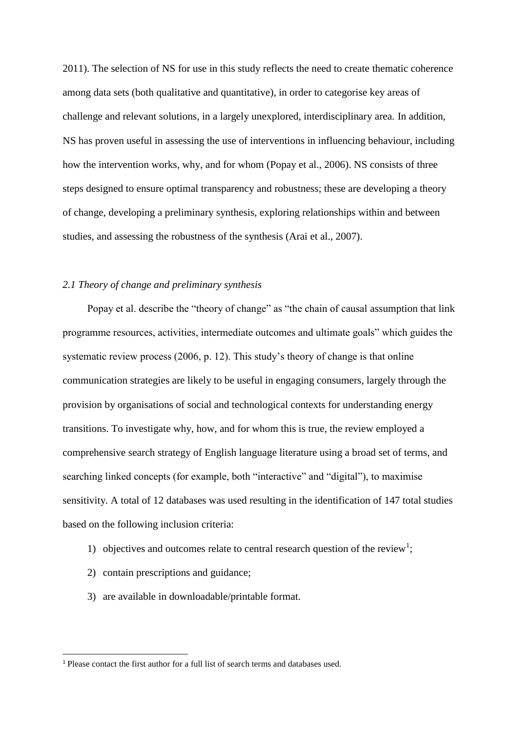2011). The selection of NS for use in this study reflects the need to create thematic coherence among data sets (both qualitative and quantitative), in order to categorise key areas of challenge and relevant solutions, in a largely unexplored, interdisciplinary area. In addition, NS has proven useful in assessing the use of interventions in influencing behaviour, including how the intervention works, why, and for whom (Popay et al., 2006). NS consists of three steps designed to ensure optimal transparency and robustness; these are developing a theory of change, developing a preliminary synthesis, exploring relationships within and between studies, and assessing the robustness of the synthesis (Arai et al., 2007).

## *2.1 Theory of change and preliminary synthesis*

Popay et al. describe the "theory of change" as "the chain of causal assumption that link programme resources, activities, intermediate outcomes and ultimate goals" which guides the systematic review process (2006, p. 12). This study's theory of change is that online communication strategies are likely to be useful in engaging consumers, largely through the provision by organisations of social and technological contexts for understanding energy transitions. To investigate why, how, and for whom this is true, the review employed a comprehensive search strategy of English language literature using a broad set of terms, and searching linked concepts (for example, both "interactive" and "digital"), to maximise sensitivity. A total of 12 databases was used resulting in the identification of 147 total studies based on the following inclusion criteria:

- 1) objectives and outcomes relate to central research question of the review<sup>1</sup>;
- 2) contain prescriptions and guidance;

**.** 

3) are available in downloadable/printable format.

<sup>1</sup> Please contact the first author for a full list of search terms and databases used.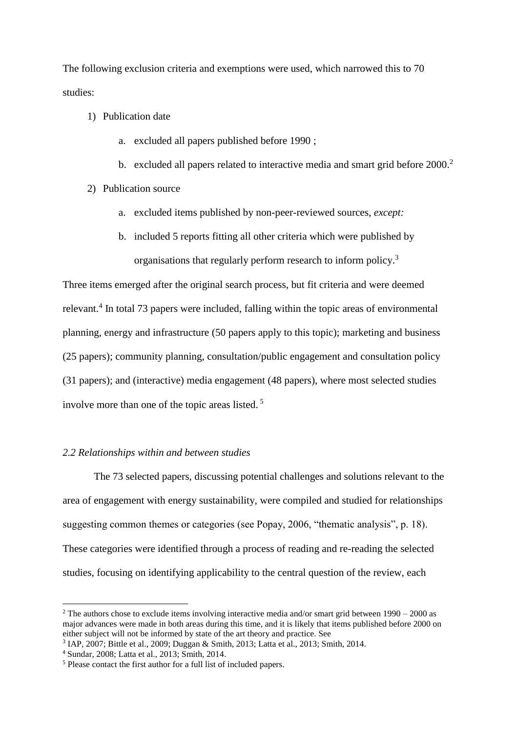The following exclusion criteria and exemptions were used, which narrowed this to 70 studies:

- 1) Publication date
	- a. excluded all papers published before 1990 ;
	- b. excluded all papers related to interactive media and smart grid before 2000.<sup>2</sup>
- 2) Publication source
	- a. excluded items published by non-peer-reviewed sources, *except:*
	- b. included 5 reports fitting all other criteria which were published by organisations that regularly perform research to inform policy.<sup>3</sup>

Three items emerged after the original search process, but fit criteria and were deemed relevant.<sup>4</sup> In total 73 papers were included, falling within the topic areas of environmental planning, energy and infrastructure (50 papers apply to this topic); marketing and business (25 papers); community planning, consultation/public engagement and consultation policy (31 papers); and (interactive) media engagement (48 papers), where most selected studies involve more than one of the topic areas listed. <sup>5</sup>

# *2.2 Relationships within and between studies*

The 73 selected papers, discussing potential challenges and solutions relevant to the area of engagement with energy sustainability, were compiled and studied for relationships suggesting common themes or categories (see Popay, 2006, "thematic analysis", p. 18). These categories were identified through a process of reading and re-reading the selected studies, focusing on identifying applicability to the central question of the review, each

1

<sup>&</sup>lt;sup>2</sup> The authors chose to exclude items involving interactive media and/or smart grid between  $1990 - 2000$  as major advances were made in both areas during this time, and it is likely that items published before 2000 on either subject will not be informed by state of the art theory and practice. See

<sup>3</sup> IAP, 2007; Bittle et al., 2009; Duggan & Smith, 2013; Latta et al., 2013; Smith, 2014.

<sup>4</sup> Sundar, 2008; Latta et al., 2013; Smith, 2014.

<sup>5</sup> Please contact the first author for a full list of included papers.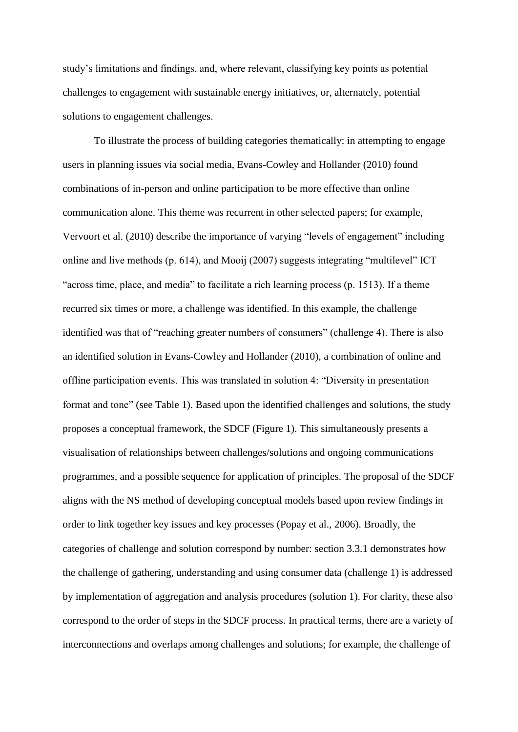study's limitations and findings, and, where relevant, classifying key points as potential challenges to engagement with sustainable energy initiatives, or, alternately, potential solutions to engagement challenges.

To illustrate the process of building categories thematically: in attempting to engage users in planning issues via social media, Evans-Cowley and Hollander (2010) found combinations of in-person and online participation to be more effective than online communication alone. This theme was recurrent in other selected papers; for example, Vervoort et al. (2010) describe the importance of varying "levels of engagement" including online and live methods (p. 614), and Mooij (2007) suggests integrating "multilevel" ICT "across time, place, and media" to facilitate a rich learning process (p. 1513). If a theme recurred six times or more, a challenge was identified. In this example, the challenge identified was that of "reaching greater numbers of consumers" (challenge 4). There is also an identified solution in Evans-Cowley and Hollander (2010), a combination of online and offline participation events. This was translated in solution 4: "Diversity in presentation format and tone" (see Table 1). Based upon the identified challenges and solutions, the study proposes a conceptual framework, the SDCF (Figure 1). This simultaneously presents a visualisation of relationships between challenges/solutions and ongoing communications programmes, and a possible sequence for application of principles. The proposal of the SDCF aligns with the NS method of developing conceptual models based upon review findings in order to link together key issues and key processes (Popay et al., 2006). Broadly, the categories of challenge and solution correspond by number: section 3.3.1 demonstrates how the challenge of gathering, understanding and using consumer data (challenge 1) is addressed by implementation of aggregation and analysis procedures (solution 1). For clarity, these also correspond to the order of steps in the SDCF process. In practical terms, there are a variety of interconnections and overlaps among challenges and solutions; for example, the challenge of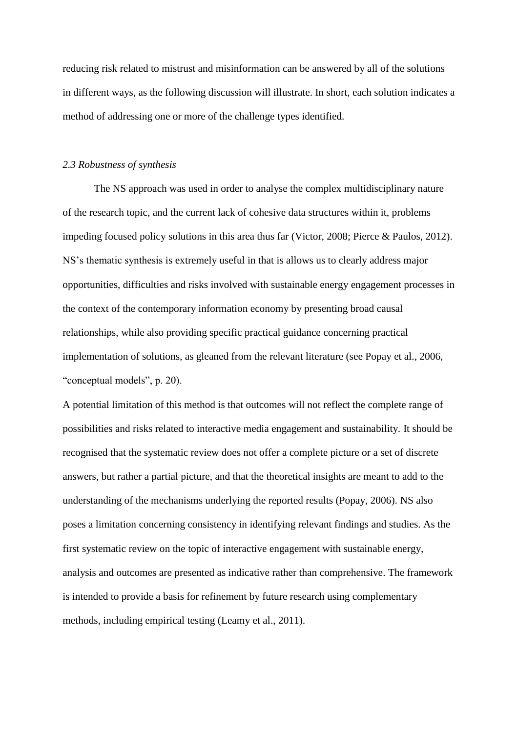reducing risk related to mistrust and misinformation can be answered by all of the solutions in different ways, as the following discussion will illustrate. In short, each solution indicates a method of addressing one or more of the challenge types identified.

### *2.3 Robustness of synthesis*

The NS approach was used in order to analyse the complex multidisciplinary nature of the research topic, and the current lack of cohesive data structures within it, problems impeding focused policy solutions in this area thus far (Victor, 2008; Pierce & Paulos, 2012). NS's thematic synthesis is extremely useful in that is allows us to clearly address major opportunities, difficulties and risks involved with sustainable energy engagement processes in the context of the contemporary information economy by presenting broad causal relationships, while also providing specific practical guidance concerning practical implementation of solutions, as gleaned from the relevant literature (see Popay et al., 2006, "conceptual models", p. 20).

A potential limitation of this method is that outcomes will not reflect the complete range of possibilities and risks related to interactive media engagement and sustainability. It should be recognised that the systematic review does not offer a complete picture or a set of discrete answers, but rather a partial picture, and that the theoretical insights are meant to add to the understanding of the mechanisms underlying the reported results (Popay, 2006). NS also poses a limitation concerning consistency in identifying relevant findings and studies. As the first systematic review on the topic of interactive engagement with sustainable energy, analysis and outcomes are presented as indicative rather than comprehensive. The framework is intended to provide a basis for refinement by future research using complementary methods, including empirical testing (Leamy et al., 2011).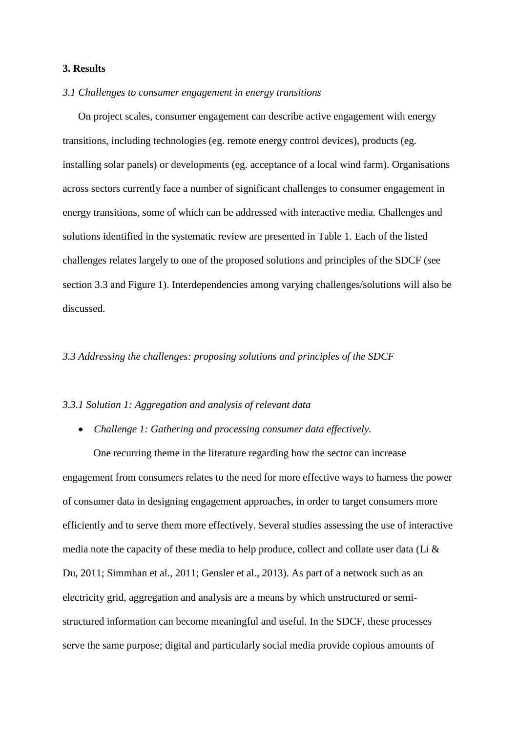## **3. Results**

### *3.1 Challenges to consumer engagement in energy transitions*

On project scales, consumer engagement can describe active engagement with energy transitions, including technologies (eg. remote energy control devices), products (eg. installing solar panels) or developments (eg. acceptance of a local wind farm). Organisations across sectors currently face a number of significant challenges to consumer engagement in energy transitions, some of which can be addressed with interactive media. Challenges and solutions identified in the systematic review are presented in Table 1. Each of the listed challenges relates largely to one of the proposed solutions and principles of the SDCF (see section 3.3 and Figure 1). Interdependencies among varying challenges/solutions will also be discussed.

# *3.3 Addressing the challenges: proposing solutions and principles of the SDCF*

#### *3.3.1 Solution 1: Aggregation and analysis of relevant data*

*Challenge 1: Gathering and processing consumer data effectively.*

One recurring theme in the literature regarding how the sector can increase engagement from consumers relates to the need for more effective ways to harness the power of consumer data in designing engagement approaches, in order to target consumers more efficiently and to serve them more effectively. Several studies assessing the use of interactive media note the capacity of these media to help produce, collect and collate user data (Li & Du, 2011; Simmhan et al., 2011; Gensler et al., 2013). As part of a network such as an electricity grid, aggregation and analysis are a means by which unstructured or semistructured information can become meaningful and useful. In the SDCF, these processes serve the same purpose; digital and particularly social media provide copious amounts of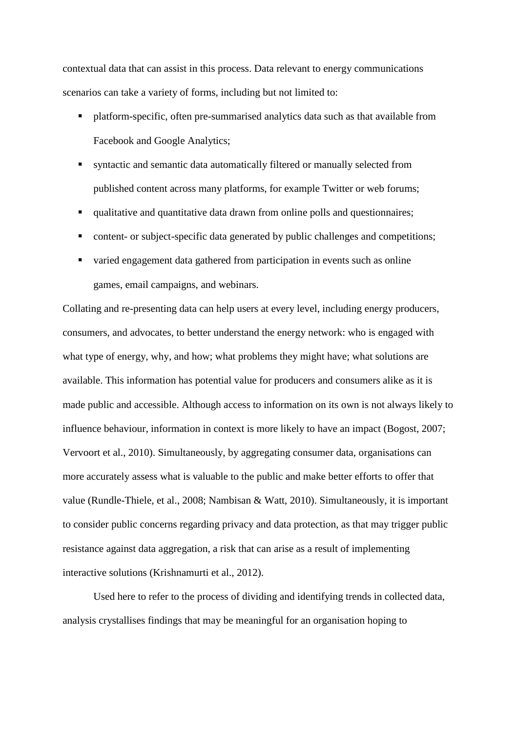contextual data that can assist in this process. Data relevant to energy communications scenarios can take a variety of forms, including but not limited to:

- platform-specific, often pre-summarised analytics data such as that available from Facebook and Google Analytics;
- syntactic and semantic data automatically filtered or manually selected from published content across many platforms, for example Twitter or web forums;
- qualitative and quantitative data drawn from online polls and questionnaires;
- content- or subject-specific data generated by public challenges and competitions;
- varied engagement data gathered from participation in events such as online games, email campaigns, and webinars.

Collating and re-presenting data can help users at every level, including energy producers, consumers, and advocates, to better understand the energy network: who is engaged with what type of energy, why, and how; what problems they might have; what solutions are available. This information has potential value for producers and consumers alike as it is made public and accessible. Although access to information on its own is not always likely to influence behaviour, information in context is more likely to have an impact (Bogost, 2007; Vervoort et al., 2010). Simultaneously, by aggregating consumer data, organisations can more accurately assess what is valuable to the public and make better efforts to offer that value (Rundle-Thiele, et al., 2008; Nambisan & Watt, 2010). Simultaneously, it is important to consider public concerns regarding privacy and data protection, as that may trigger public resistance against data aggregation, a risk that can arise as a result of implementing interactive solutions (Krishnamurti et al., 2012).

Used here to refer to the process of dividing and identifying trends in collected data, analysis crystallises findings that may be meaningful for an organisation hoping to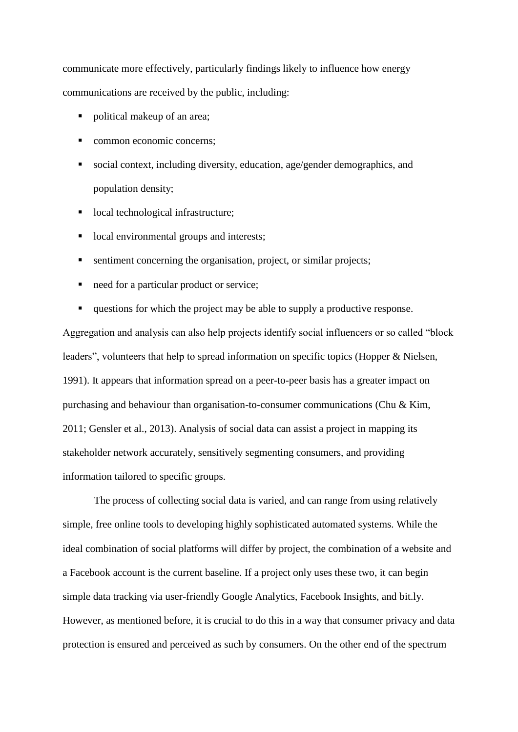communicate more effectively, particularly findings likely to influence how energy communications are received by the public, including:

- political makeup of an area;
- common economic concerns:
- social context, including diversity, education, age/gender demographics, and population density;
- local technological infrastructure;
- local environmental groups and interests;
- sentiment concerning the organisation, project, or similar projects;
- need for a particular product or service;
- questions for which the project may be able to supply a productive response.

Aggregation and analysis can also help projects identify social influencers or so called "block leaders", volunteers that help to spread information on specific topics (Hopper & Nielsen, 1991). It appears that information spread on a peer-to-peer basis has a greater impact on purchasing and behaviour than organisation-to-consumer communications (Chu & Kim, 2011; Gensler et al., 2013). Analysis of social data can assist a project in mapping its stakeholder network accurately, sensitively segmenting consumers, and providing information tailored to specific groups.

The process of collecting social data is varied, and can range from using relatively simple, free online tools to developing highly sophisticated automated systems. While the ideal combination of social platforms will differ by project, the combination of a website and a Facebook account is the current baseline. If a project only uses these two, it can begin simple data tracking via user-friendly Google Analytics, Facebook Insights, and bit.ly. However, as mentioned before, it is crucial to do this in a way that consumer privacy and data protection is ensured and perceived as such by consumers. On the other end of the spectrum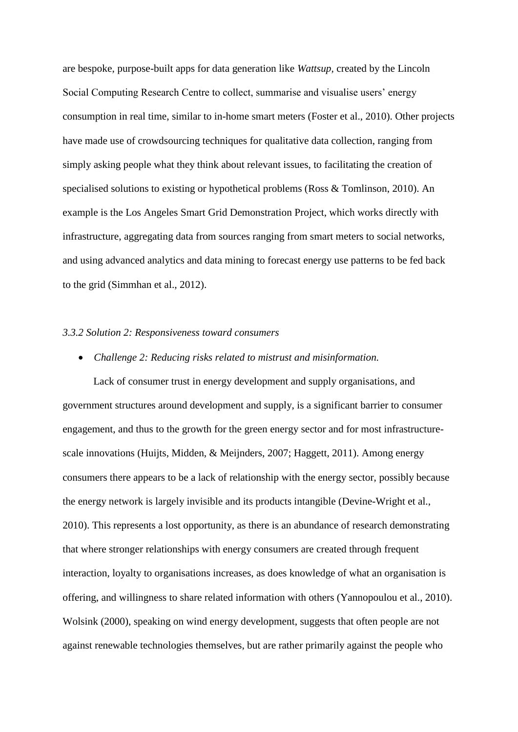are bespoke, purpose-built apps for data generation like *Wattsup,* created by the Lincoln Social Computing Research Centre to collect, summarise and visualise users' energy consumption in real time, similar to in-home smart meters (Foster et al., 2010). Other projects have made use of crowdsourcing techniques for qualitative data collection, ranging from simply asking people what they think about relevant issues, to facilitating the creation of specialised solutions to existing or hypothetical problems (Ross & Tomlinson, 2010). An example is the Los Angeles Smart Grid Demonstration Project, which works directly with infrastructure, aggregating data from sources ranging from smart meters to social networks, and using advanced analytics and data mining to forecast energy use patterns to be fed back to the grid (Simmhan et al., 2012).

### *3.3.2 Solution 2: Responsiveness toward consumers*

## *Challenge 2: Reducing risks related to mistrust and misinformation.*

Lack of consumer trust in energy development and supply organisations, and government structures around development and supply, is a significant barrier to consumer engagement, and thus to the growth for the green energy sector and for most infrastructurescale innovations (Huijts, Midden, & Meijnders, 2007; Haggett, 2011). Among energy consumers there appears to be a lack of relationship with the energy sector, possibly because the energy network is largely invisible and its products intangible (Devine-Wright et al., 2010). This represents a lost opportunity, as there is an abundance of research demonstrating that where stronger relationships with energy consumers are created through frequent interaction, loyalty to organisations increases, as does knowledge of what an organisation is offering, and willingness to share related information with others (Yannopoulou et al., 2010). Wolsink (2000), speaking on wind energy development, suggests that often people are not against renewable technologies themselves, but are rather primarily against the people who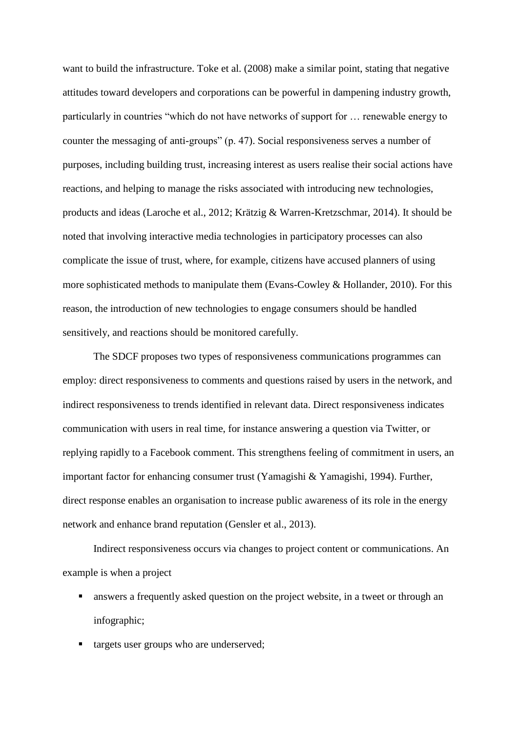want to build the infrastructure. Toke et al. (2008) make a similar point, stating that negative attitudes toward developers and corporations can be powerful in dampening industry growth, particularly in countries "which do not have networks of support for … renewable energy to counter the messaging of anti-groups" (p. 47). Social responsiveness serves a number of purposes, including building trust, increasing interest as users realise their social actions have reactions, and helping to manage the risks associated with introducing new technologies, products and ideas (Laroche et al., 2012; Krätzig & Warren-Kretzschmar, 2014). It should be noted that involving interactive media technologies in participatory processes can also complicate the issue of trust, where, for example, citizens have accused planners of using more sophisticated methods to manipulate them (Evans-Cowley & Hollander, 2010). For this reason, the introduction of new technologies to engage consumers should be handled sensitively, and reactions should be monitored carefully.

The SDCF proposes two types of responsiveness communications programmes can employ: direct responsiveness to comments and questions raised by users in the network, and indirect responsiveness to trends identified in relevant data. Direct responsiveness indicates communication with users in real time, for instance answering a question via Twitter, or replying rapidly to a Facebook comment. This strengthens feeling of commitment in users, an important factor for enhancing consumer trust (Yamagishi & Yamagishi, 1994). Further, direct response enables an organisation to increase public awareness of its role in the energy network and enhance brand reputation (Gensler et al., 2013).

Indirect responsiveness occurs via changes to project content or communications. An example is when a project

- answers a frequently asked question on the project website, in a tweet or through an infographic;
- targets user groups who are underserved;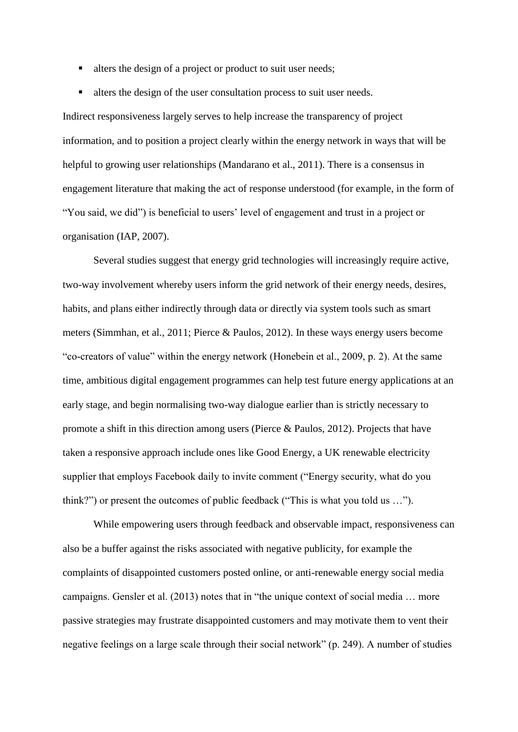- design of a project or product to suit user needs;
- alters the design of the user consultation process to suit user needs.

Indirect responsiveness largely serves to help increase the transparency of project information, and to position a project clearly within the energy network in ways that will be helpful to growing user relationships (Mandarano et al., 2011). There is a consensus in engagement literature that making the act of response understood (for example, in the form of "You said, we did") is beneficial to users' level of engagement and trust in a project or organisation (IAP, 2007).

Several studies suggest that energy grid technologies will increasingly require active, two-way involvement whereby users inform the grid network of their energy needs, desires, habits, and plans either indirectly through data or directly via system tools such as smart meters (Simmhan, et al., 2011; Pierce & Paulos, 2012). In these ways energy users become "co-creators of value" within the energy network (Honebein et al., 2009, p. 2). At the same time, ambitious digital engagement programmes can help test future energy applications at an early stage, and begin normalising two-way dialogue earlier than is strictly necessary to promote a shift in this direction among users (Pierce & Paulos, 2012). Projects that have taken a responsive approach include ones like Good Energy, a UK renewable electricity supplier that employs Facebook daily to invite comment ("Energy security, what do you think?") or present the outcomes of public feedback ("This is what you told us …").

While empowering users through feedback and observable impact, responsiveness can also be a buffer against the risks associated with negative publicity, for example the complaints of disappointed customers posted online, or anti-renewable energy social media campaigns. Gensler et al. (2013) notes that in "the unique context of social media … more passive strategies may frustrate disappointed customers and may motivate them to vent their negative feelings on a large scale through their social network" (p. 249). A number of studies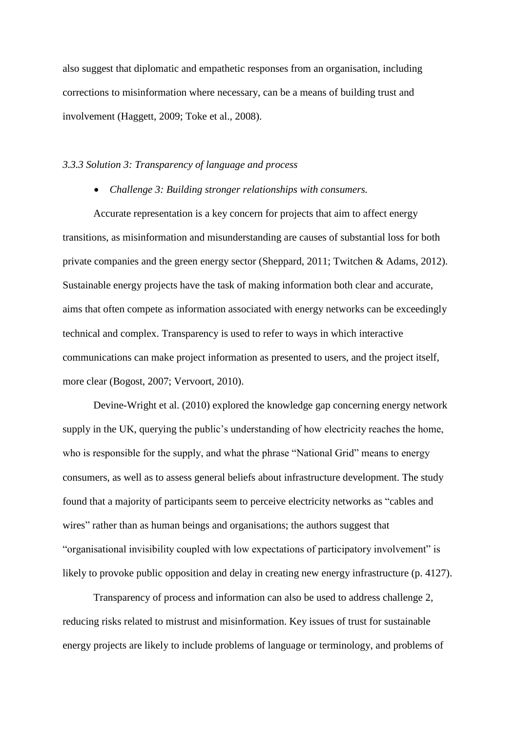also suggest that diplomatic and empathetic responses from an organisation, including corrections to misinformation where necessary, can be a means of building trust and involvement (Haggett, 2009; Toke et al., 2008).

### *3.3.3 Solution 3: Transparency of language and process*

*Challenge 3: Building stronger relationships with consumers.* 

Accurate representation is a key concern for projects that aim to affect energy transitions, as misinformation and misunderstanding are causes of substantial loss for both private companies and the green energy sector (Sheppard, 2011; Twitchen & Adams, 2012). Sustainable energy projects have the task of making information both clear and accurate, aims that often compete as information associated with energy networks can be exceedingly technical and complex. Transparency is used to refer to ways in which interactive communications can make project information as presented to users, and the project itself, more clear (Bogost, 2007; Vervoort, 2010).

Devine-Wright et al. (2010) explored the knowledge gap concerning energy network supply in the UK, querying the public's understanding of how electricity reaches the home, who is responsible for the supply, and what the phrase "National Grid" means to energy consumers, as well as to assess general beliefs about infrastructure development. The study found that a majority of participants seem to perceive electricity networks as "cables and wires" rather than as human beings and organisations; the authors suggest that "organisational invisibility coupled with low expectations of participatory involvement" is likely to provoke public opposition and delay in creating new energy infrastructure (p. 4127).

Transparency of process and information can also be used to address challenge 2, reducing risks related to mistrust and misinformation. Key issues of trust for sustainable energy projects are likely to include problems of language or terminology, and problems of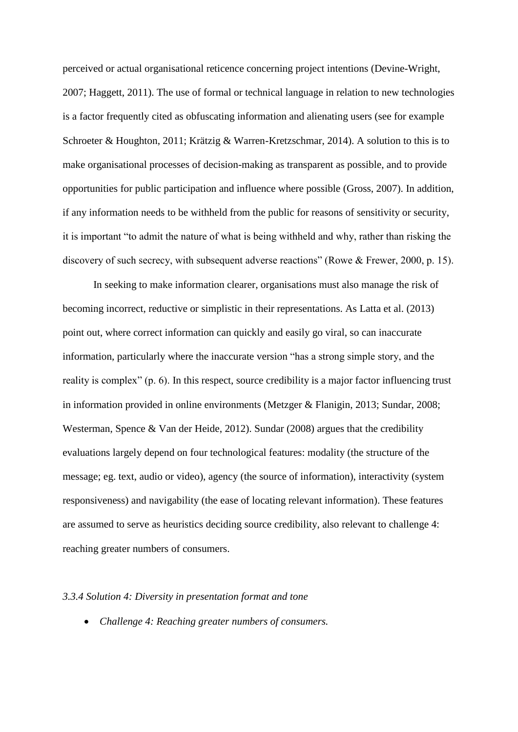perceived or actual organisational reticence concerning project intentions (Devine-Wright, 2007; Haggett, 2011). The use of formal or technical language in relation to new technologies is a factor frequently cited as obfuscating information and alienating users (see for example Schroeter & Houghton, 2011; Krätzig & Warren-Kretzschmar, 2014). A solution to this is to make organisational processes of decision-making as transparent as possible, and to provide opportunities for public participation and influence where possible (Gross, 2007). In addition, if any information needs to be withheld from the public for reasons of sensitivity or security, it is important "to admit the nature of what is being withheld and why, rather than risking the discovery of such secrecy, with subsequent adverse reactions" (Rowe & Frewer, 2000, p. 15).

In seeking to make information clearer, organisations must also manage the risk of becoming incorrect, reductive or simplistic in their representations. As Latta et al. (2013) point out, where correct information can quickly and easily go viral, so can inaccurate information, particularly where the inaccurate version "has a strong simple story, and the reality is complex" (p. 6). In this respect, source credibility is a major factor influencing trust in information provided in online environments (Metzger & Flanigin, 2013; Sundar, 2008; Westerman, Spence & Van der Heide, 2012). Sundar (2008) argues that the credibility evaluations largely depend on four technological features: modality (the structure of the message; eg. text, audio or video), agency (the source of information), interactivity (system responsiveness) and navigability (the ease of locating relevant information). These features are assumed to serve as heuristics deciding source credibility, also relevant to challenge 4: reaching greater numbers of consumers.

# *3.3.4 Solution 4: Diversity in presentation format and tone*

*Challenge 4: Reaching greater numbers of consumers.*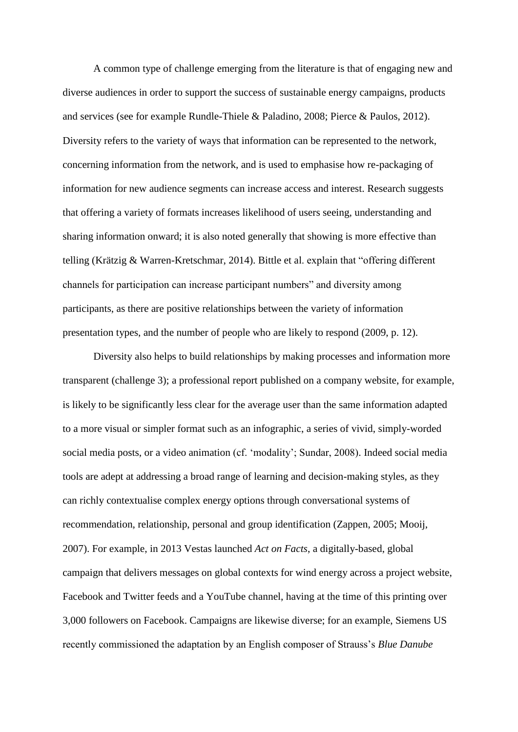A common type of challenge emerging from the literature is that of engaging new and diverse audiences in order to support the success of sustainable energy campaigns, products and services (see for example Rundle-Thiele & Paladino, 2008; Pierce & Paulos, 2012). Diversity refers to the variety of ways that information can be represented to the network, concerning information from the network, and is used to emphasise how re-packaging of information for new audience segments can increase access and interest. Research suggests that offering a variety of formats increases likelihood of users seeing, understanding and sharing information onward; it is also noted generally that showing is more effective than telling (Krätzig & Warren-Kretschmar, 2014). Bittle et al. explain that "offering different channels for participation can increase participant numbers" and diversity among participants, as there are positive relationships between the variety of information presentation types, and the number of people who are likely to respond (2009, p. 12).

Diversity also helps to build relationships by making processes and information more transparent (challenge 3); a professional report published on a company website, for example, is likely to be significantly less clear for the average user than the same information adapted to a more visual or simpler format such as an infographic, a series of vivid, simply-worded social media posts, or a video animation (cf. 'modality'; Sundar, 2008). Indeed social media tools are adept at addressing a broad range of learning and decision-making styles, as they can richly contextualise complex energy options through conversational systems of recommendation, relationship, personal and group identification (Zappen, 2005; Mooij, 2007). For example, in 2013 Vestas launched *Act on Facts*, a digitally-based, global campaign that delivers messages on global contexts for wind energy across a project website, Facebook and Twitter feeds and a YouTube channel, having at the time of this printing over 3,000 followers on Facebook. Campaigns are likewise diverse; for an example, Siemens US recently commissioned the adaptation by an English composer of Strauss's *Blue Danube*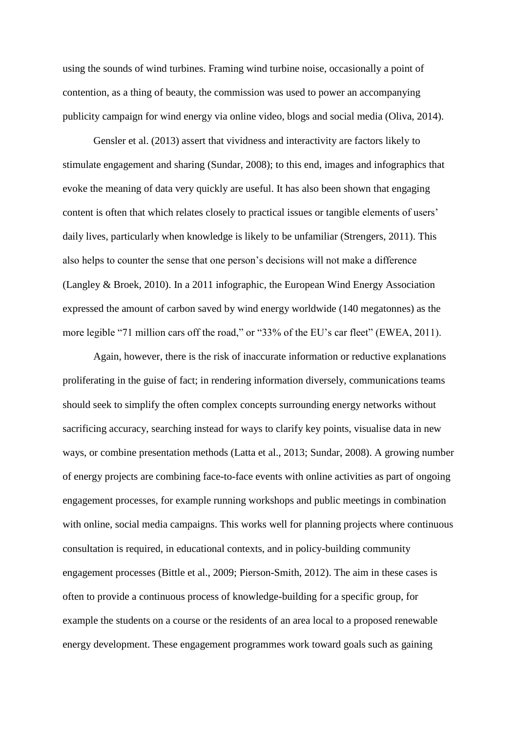using the sounds of wind turbines. Framing wind turbine noise, occasionally a point of contention, as a thing of beauty, the commission was used to power an accompanying publicity campaign for wind energy via online video, blogs and social media (Oliva, 2014).

Gensler et al. (2013) assert that vividness and interactivity are factors likely to stimulate engagement and sharing (Sundar, 2008); to this end, images and infographics that evoke the meaning of data very quickly are useful. It has also been shown that engaging content is often that which relates closely to practical issues or tangible elements of users' daily lives, particularly when knowledge is likely to be unfamiliar (Strengers, 2011). This also helps to counter the sense that one person's decisions will not make a difference (Langley & Broek, 2010). In a 2011 infographic, the European Wind Energy Association expressed the amount of carbon saved by wind energy worldwide (140 megatonnes) as the more legible "71 million cars off the road," or "33% of the EU's car fleet" (EWEA, 2011).

Again, however, there is the risk of inaccurate information or reductive explanations proliferating in the guise of fact; in rendering information diversely, communications teams should seek to simplify the often complex concepts surrounding energy networks without sacrificing accuracy, searching instead for ways to clarify key points, visualise data in new ways, or combine presentation methods (Latta et al., 2013; Sundar, 2008). A growing number of energy projects are combining face-to-face events with online activities as part of ongoing engagement processes, for example running workshops and public meetings in combination with online, social media campaigns. This works well for planning projects where continuous consultation is required, in educational contexts, and in policy-building community engagement processes (Bittle et al., 2009; Pierson-Smith, 2012). The aim in these cases is often to provide a continuous process of knowledge-building for a specific group, for example the students on a course or the residents of an area local to a proposed renewable energy development. These engagement programmes work toward goals such as gaining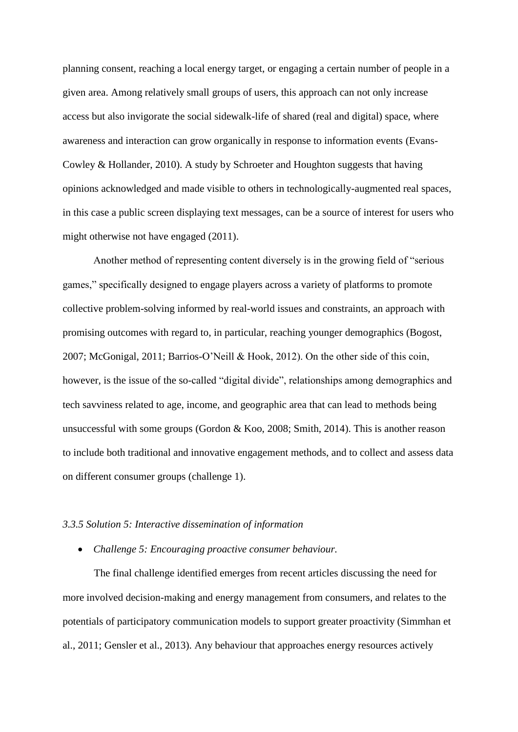planning consent, reaching a local energy target, or engaging a certain number of people in a given area. Among relatively small groups of users, this approach can not only increase access but also invigorate the social sidewalk-life of shared (real and digital) space, where awareness and interaction can grow organically in response to information events (Evans-Cowley & Hollander, 2010). A study by Schroeter and Houghton suggests that having opinions acknowledged and made visible to others in technologically-augmented real spaces, in this case a public screen displaying text messages, can be a source of interest for users who might otherwise not have engaged (2011).

Another method of representing content diversely is in the growing field of "serious games," specifically designed to engage players across a variety of platforms to promote collective problem-solving informed by real-world issues and constraints, an approach with promising outcomes with regard to, in particular, reaching younger demographics (Bogost, 2007; McGonigal, 2011; Barrios-O'Neill & Hook, 2012). On the other side of this coin, however, is the issue of the so-called "digital divide", relationships among demographics and tech savviness related to age, income, and geographic area that can lead to methods being unsuccessful with some groups (Gordon & Koo, 2008; Smith, 2014). This is another reason to include both traditional and innovative engagement methods, and to collect and assess data on different consumer groups (challenge 1).

## *3.3.5 Solution 5: Interactive dissemination of information*

*Challenge 5: Encouraging proactive consumer behaviour.*

The final challenge identified emerges from recent articles discussing the need for more involved decision-making and energy management from consumers, and relates to the potentials of participatory communication models to support greater proactivity (Simmhan et al., 2011; Gensler et al., 2013). Any behaviour that approaches energy resources actively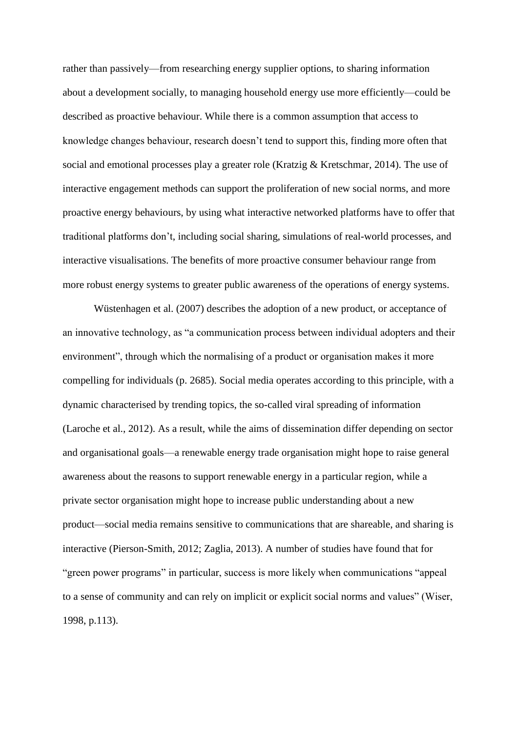rather than passively—from researching energy supplier options, to sharing information about a development socially, to managing household energy use more efficiently—could be described as proactive behaviour. While there is a common assumption that access to knowledge changes behaviour, research doesn't tend to support this, finding more often that social and emotional processes play a greater role (Kratzig & Kretschmar, 2014). The use of interactive engagement methods can support the proliferation of new social norms, and more proactive energy behaviours, by using what interactive networked platforms have to offer that traditional platforms don't, including social sharing, simulations of real-world processes, and interactive visualisations. The benefits of more proactive consumer behaviour range from more robust energy systems to greater public awareness of the operations of energy systems.

Wüstenhagen et al. (2007) describes the adoption of a new product, or acceptance of an innovative technology, as "a communication process between individual adopters and their environment", through which the normalising of a product or organisation makes it more compelling for individuals (p. 2685). Social media operates according to this principle, with a dynamic characterised by trending topics, the so-called viral spreading of information (Laroche et al., 2012). As a result, while the aims of dissemination differ depending on sector and organisational goals—a renewable energy trade organisation might hope to raise general awareness about the reasons to support renewable energy in a particular region, while a private sector organisation might hope to increase public understanding about a new product—social media remains sensitive to communications that are shareable, and sharing is interactive (Pierson-Smith, 2012; Zaglia, 2013). A number of studies have found that for "green power programs" in particular, success is more likely when communications "appeal to a sense of community and can rely on implicit or explicit social norms and values" (Wiser, 1998, p.113).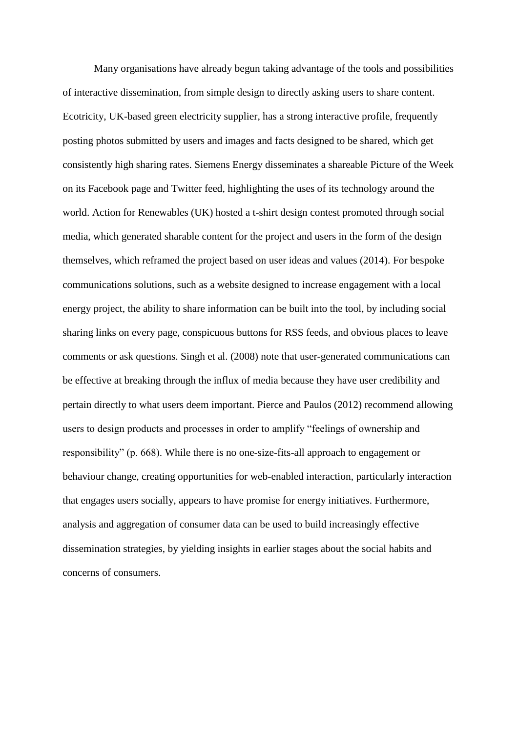Many organisations have already begun taking advantage of the tools and possibilities of interactive dissemination, from simple design to directly asking users to share content. Ecotricity, UK-based green electricity supplier, has a strong interactive profile, frequently posting photos submitted by users and images and facts designed to be shared, which get consistently high sharing rates. Siemens Energy disseminates a shareable Picture of the Week on its Facebook page and Twitter feed, highlighting the uses of its technology around the world. Action for Renewables (UK) hosted a t-shirt design contest promoted through social media, which generated sharable content for the project and users in the form of the design themselves, which reframed the project based on user ideas and values (2014). For bespoke communications solutions, such as a website designed to increase engagement with a local energy project, the ability to share information can be built into the tool, by including social sharing links on every page, conspicuous buttons for RSS feeds, and obvious places to leave comments or ask questions. Singh et al. (2008) note that user-generated communications can be effective at breaking through the influx of media because they have user credibility and pertain directly to what users deem important. Pierce and Paulos (2012) recommend allowing users to design products and processes in order to amplify "feelings of ownership and responsibility" (p. 668). While there is no one-size-fits-all approach to engagement or behaviour change, creating opportunities for web-enabled interaction, particularly interaction that engages users socially, appears to have promise for energy initiatives. Furthermore, analysis and aggregation of consumer data can be used to build increasingly effective dissemination strategies, by yielding insights in earlier stages about the social habits and concerns of consumers.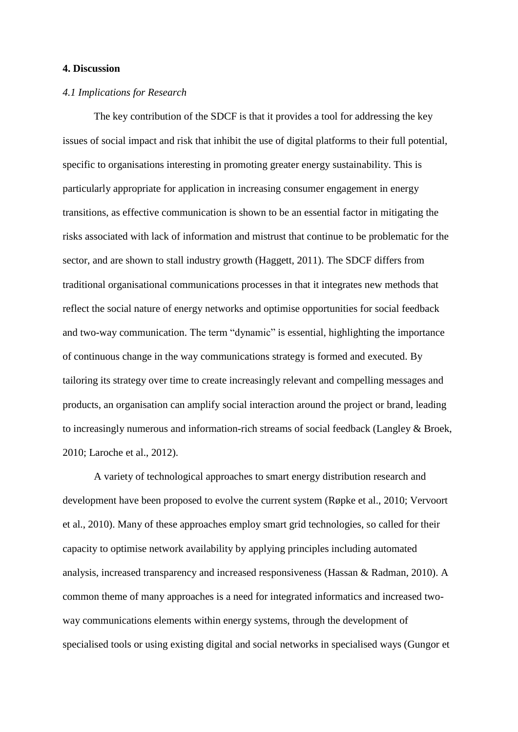### **4. Discussion**

### *4.1 Implications for Research*

The key contribution of the SDCF is that it provides a tool for addressing the key issues of social impact and risk that inhibit the use of digital platforms to their full potential, specific to organisations interesting in promoting greater energy sustainability. This is particularly appropriate for application in increasing consumer engagement in energy transitions, as effective communication is shown to be an essential factor in mitigating the risks associated with lack of information and mistrust that continue to be problematic for the sector, and are shown to stall industry growth (Haggett, 2011). The SDCF differs from traditional organisational communications processes in that it integrates new methods that reflect the social nature of energy networks and optimise opportunities for social feedback and two-way communication. The term "dynamic" is essential, highlighting the importance of continuous change in the way communications strategy is formed and executed. By tailoring its strategy over time to create increasingly relevant and compelling messages and products, an organisation can amplify social interaction around the project or brand, leading to increasingly numerous and information-rich streams of social feedback (Langley & Broek, 2010; Laroche et al., 2012).

A variety of technological approaches to smart energy distribution research and development have been proposed to evolve the current system (Røpke et al., 2010; Vervoort et al., 2010). Many of these approaches employ smart grid technologies, so called for their capacity to optimise network availability by applying principles including automated analysis, increased transparency and increased responsiveness (Hassan & Radman, 2010). A common theme of many approaches is a need for integrated informatics and increased twoway communications elements within energy systems, through the development of specialised tools or using existing digital and social networks in specialised ways (Gungor et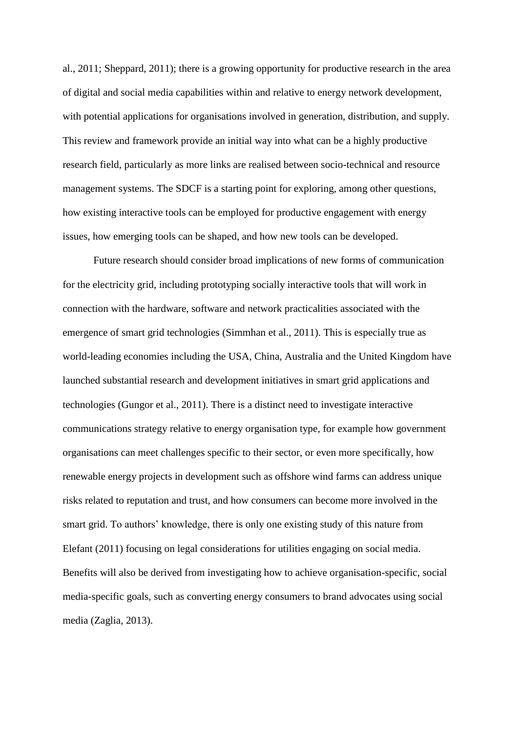al., 2011; Sheppard, 2011); there is a growing opportunity for productive research in the area of digital and social media capabilities within and relative to energy network development, with potential applications for organisations involved in generation, distribution, and supply. This review and framework provide an initial way into what can be a highly productive research field, particularly as more links are realised between socio-technical and resource management systems. The SDCF is a starting point for exploring, among other questions, how existing interactive tools can be employed for productive engagement with energy issues, how emerging tools can be shaped, and how new tools can be developed.

Future research should consider broad implications of new forms of communication for the electricity grid, including prototyping socially interactive tools that will work in connection with the hardware, software and network practicalities associated with the emergence of smart grid technologies (Simmhan et al., 2011). This is especially true as world-leading economies including the USA, China, Australia and the United Kingdom have launched substantial research and development initiatives in smart grid applications and technologies (Gungor et al., 2011). There is a distinct need to investigate interactive communications strategy relative to energy organisation type, for example how government organisations can meet challenges specific to their sector, or even more specifically, how renewable energy projects in development such as offshore wind farms can address unique risks related to reputation and trust, and how consumers can become more involved in the smart grid. To authors' knowledge, there is only one existing study of this nature from Elefant (2011) focusing on legal considerations for utilities engaging on social media. Benefits will also be derived from investigating how to achieve organisation-specific, social media-specific goals, such as converting energy consumers to brand advocates using social media (Zaglia, 2013).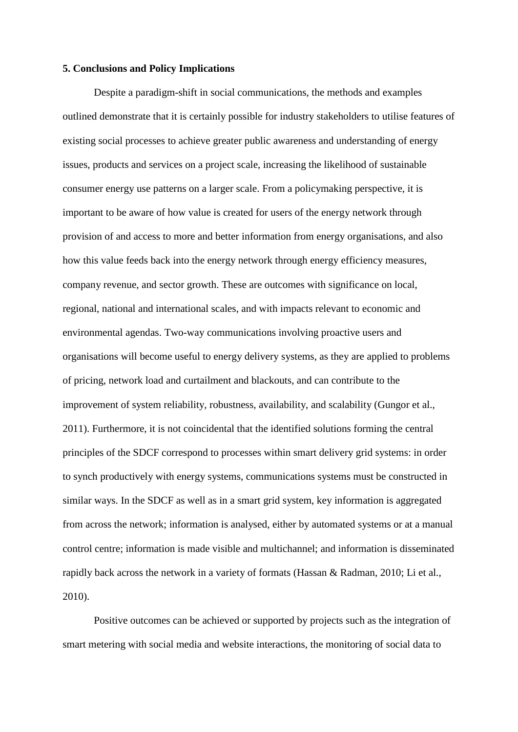#### **5. Conclusions and Policy Implications**

Despite a paradigm-shift in social communications, the methods and examples outlined demonstrate that it is certainly possible for industry stakeholders to utilise features of existing social processes to achieve greater public awareness and understanding of energy issues, products and services on a project scale, increasing the likelihood of sustainable consumer energy use patterns on a larger scale. From a policymaking perspective, it is important to be aware of how value is created for users of the energy network through provision of and access to more and better information from energy organisations, and also how this value feeds back into the energy network through energy efficiency measures, company revenue, and sector growth. These are outcomes with significance on local, regional, national and international scales, and with impacts relevant to economic and environmental agendas. Two-way communications involving proactive users and organisations will become useful to energy delivery systems, as they are applied to problems of pricing, network load and curtailment and blackouts, and can contribute to the improvement of system reliability, robustness, availability, and scalability (Gungor et al., 2011). Furthermore, it is not coincidental that the identified solutions forming the central principles of the SDCF correspond to processes within smart delivery grid systems: in order to synch productively with energy systems, communications systems must be constructed in similar ways. In the SDCF as well as in a smart grid system, key information is aggregated from across the network; information is analysed, either by automated systems or at a manual control centre; information is made visible and multichannel; and information is disseminated rapidly back across the network in a variety of formats (Hassan & Radman, 2010; Li et al., 2010).

Positive outcomes can be achieved or supported by projects such as the integration of smart metering with social media and website interactions, the monitoring of social data to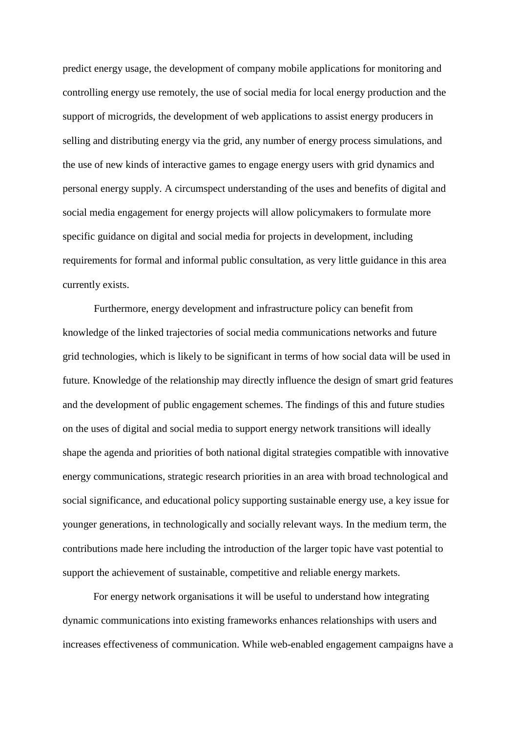predict energy usage, the development of company mobile applications for monitoring and controlling energy use remotely, the use of social media for local energy production and the support of microgrids, the development of web applications to assist energy producers in selling and distributing energy via the grid, any number of energy process simulations, and the use of new kinds of interactive games to engage energy users with grid dynamics and personal energy supply. A circumspect understanding of the uses and benefits of digital and social media engagement for energy projects will allow policymakers to formulate more specific guidance on digital and social media for projects in development, including requirements for formal and informal public consultation, as very little guidance in this area currently exists.

Furthermore, energy development and infrastructure policy can benefit from knowledge of the linked trajectories of social media communications networks and future grid technologies, which is likely to be significant in terms of how social data will be used in future. Knowledge of the relationship may directly influence the design of smart grid features and the development of public engagement schemes. The findings of this and future studies on the uses of digital and social media to support energy network transitions will ideally shape the agenda and priorities of both national digital strategies compatible with innovative energy communications, strategic research priorities in an area with broad technological and social significance, and educational policy supporting sustainable energy use, a key issue for younger generations, in technologically and socially relevant ways. In the medium term, the contributions made here including the introduction of the larger topic have vast potential to support the achievement of sustainable, competitive and reliable energy markets.

For energy network organisations it will be useful to understand how integrating dynamic communications into existing frameworks enhances relationships with users and increases effectiveness of communication. While web-enabled engagement campaigns have a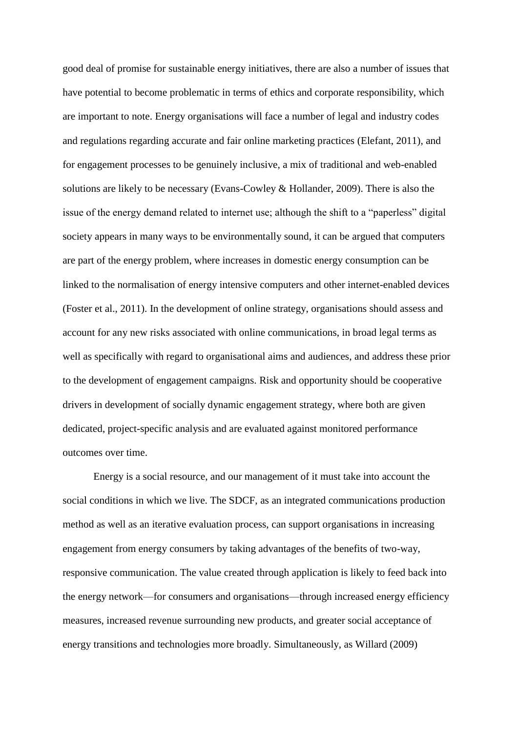good deal of promise for sustainable energy initiatives, there are also a number of issues that have potential to become problematic in terms of ethics and corporate responsibility, which are important to note. Energy organisations will face a number of legal and industry codes and regulations regarding accurate and fair online marketing practices (Elefant, 2011), and for engagement processes to be genuinely inclusive, a mix of traditional and web-enabled solutions are likely to be necessary (Evans-Cowley & Hollander, 2009). There is also the issue of the energy demand related to internet use; although the shift to a "paperless" digital society appears in many ways to be environmentally sound, it can be argued that computers are part of the energy problem, where increases in domestic energy consumption can be linked to the normalisation of energy intensive computers and other internet-enabled devices (Foster et al., 2011). In the development of online strategy, organisations should assess and account for any new risks associated with online communications, in broad legal terms as well as specifically with regard to organisational aims and audiences, and address these prior to the development of engagement campaigns. Risk and opportunity should be cooperative drivers in development of socially dynamic engagement strategy, where both are given dedicated, project-specific analysis and are evaluated against monitored performance outcomes over time.

Energy is a social resource, and our management of it must take into account the social conditions in which we live. The SDCF, as an integrated communications production method as well as an iterative evaluation process, can support organisations in increasing engagement from energy consumers by taking advantages of the benefits of two-way, responsive communication. The value created through application is likely to feed back into the energy network—for consumers and organisations—through increased energy efficiency measures, increased revenue surrounding new products, and greater social acceptance of energy transitions and technologies more broadly. Simultaneously, as Willard (2009)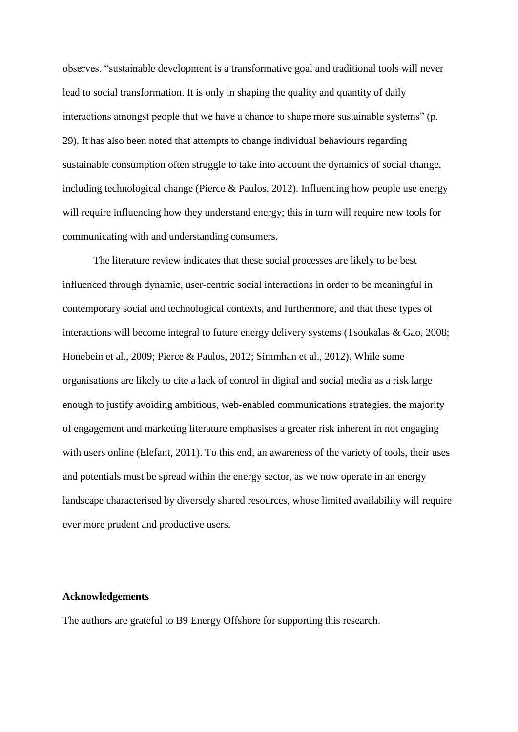observes, "sustainable development is a transformative goal and traditional tools will never lead to social transformation. It is only in shaping the quality and quantity of daily interactions amongst people that we have a chance to shape more sustainable systems" (p. 29). It has also been noted that attempts to change individual behaviours regarding sustainable consumption often struggle to take into account the dynamics of social change, including technological change (Pierce & Paulos, 2012). Influencing how people use energy will require influencing how they understand energy; this in turn will require new tools for communicating with and understanding consumers.

The literature review indicates that these social processes are likely to be best influenced through dynamic, user-centric social interactions in order to be meaningful in contemporary social and technological contexts, and furthermore, and that these types of interactions will become integral to future energy delivery systems (Tsoukalas & Gao, 2008; Honebein et al., 2009; Pierce & Paulos, 2012; Simmhan et al., 2012). While some organisations are likely to cite a lack of control in digital and social media as a risk large enough to justify avoiding ambitious, web-enabled communications strategies, the majority of engagement and marketing literature emphasises a greater risk inherent in not engaging with users online (Elefant, 2011). To this end, an awareness of the variety of tools, their uses and potentials must be spread within the energy sector, as we now operate in an energy landscape characterised by diversely shared resources, whose limited availability will require ever more prudent and productive users.

### **Acknowledgements**

The authors are grateful to B9 Energy Offshore for supporting this research.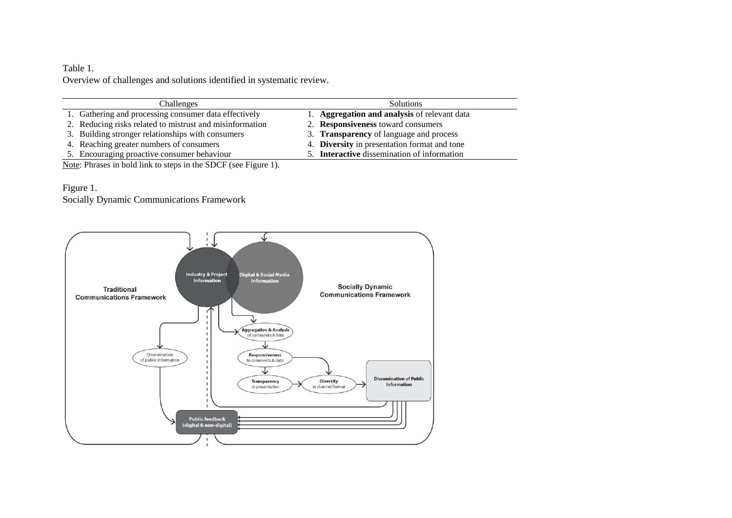# Table 1.

Overview of challenges and solutions identified in systematic review.

| Challenges                                                      | <b>Solutions</b>                                   |
|-----------------------------------------------------------------|----------------------------------------------------|
| 1. Gathering and processing consumer data effectively           | 1. Aggregation and analysis of relevant data       |
| 2. Reducing risks related to mistrust and misinformation        | 2. Responsiveness toward consumers                 |
| 3. Building stronger relationships with consumers               | 3. Transparency of language and process            |
| 4. Reaching greater numbers of consumers                        | 4. Diversity in presentation format and tone       |
| 5. Encouraging proactive consumer behaviour                     | 5. <b>Interactive</b> dissemination of information |
| Note: Phrases in bold link to steps in the SDCF (see Figure 1). |                                                    |

# Figure 1.

Socially Dynamic Communications Framework

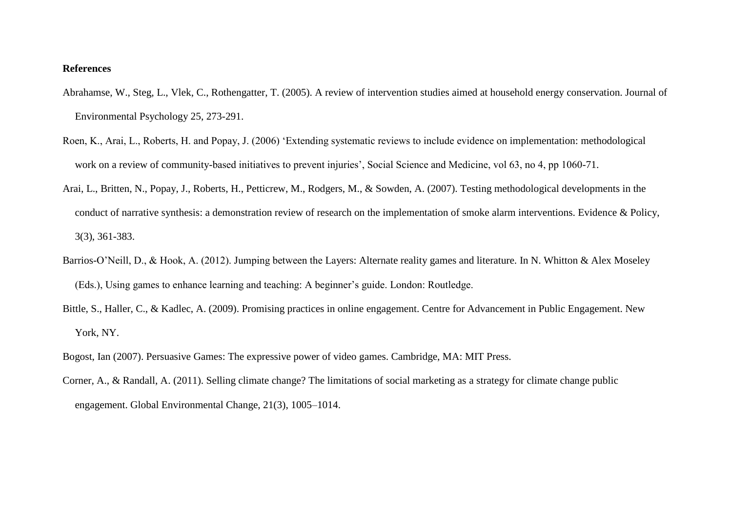# **References**

- Abrahamse, W., Steg, L., Vlek, C., Rothengatter, T. (2005). A review of intervention studies aimed at household energy conservation. Journal of Environmental Psychology 25, 273-291.
- Roen, K., Arai, L., Roberts, H. and Popay, J. (2006) 'Extending systematic reviews to include evidence on implementation: methodological work on a review of community-based initiatives to prevent injuries', Social Science and Medicine, vol 63, no 4, pp 1060-71.
- Arai, L., Britten, N., Popay, J., Roberts, H., Petticrew, M., Rodgers, M., & Sowden, A. (2007). Testing methodological developments in the conduct of narrative synthesis: a demonstration review of research on the implementation of smoke alarm interventions. Evidence & Policy, 3(3), 361-383.
- Barrios-O'Neill, D., & Hook, A. (2012). Jumping between the Layers: Alternate reality games and literature. In N. Whitton & Alex Moseley (Eds.), Using games to enhance learning and teaching: A beginner's guide. London: Routledge.
- Bittle, S., Haller, C., & Kadlec, A. (2009). Promising practices in online engagement. Centre for Advancement in Public Engagement. New York, NY.
- Bogost, Ian (2007). Persuasive Games: The expressive power of video games. Cambridge, MA: MIT Press.
- Corner, A., & Randall, A. (2011). Selling climate change? The limitations of social marketing as a strategy for climate change public engagement. Global Environmental Change, 21(3), 1005–1014.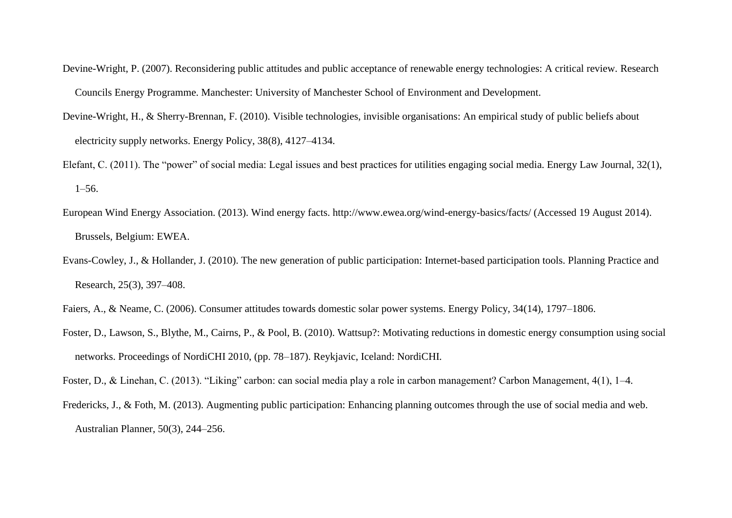- Devine-Wright, P. (2007). Reconsidering public attitudes and public acceptance of renewable energy technologies: A critical review. Research Councils Energy Programme. Manchester: University of Manchester School of Environment and Development.
- Devine-Wright, H., & Sherry-Brennan, F. (2010). Visible technologies, invisible organisations: An empirical study of public beliefs about electricity supply networks. Energy Policy, 38(8), 4127–4134.
- Elefant, C. (2011). The "power" of social media: Legal issues and best practices for utilities engaging social media. Energy Law Journal, 32(1), 1–56.
- European Wind Energy Association. (2013). Wind energy facts. http://www.ewea.org/wind-energy-basics/facts/ (Accessed 19 August 2014). Brussels, Belgium: EWEA.
- Evans-Cowley, J., & Hollander, J. (2010). The new generation of public participation: Internet-based participation tools. Planning Practice and Research, 25(3), 397–408.
- Faiers, A., & Neame, C. (2006). Consumer attitudes towards domestic solar power systems. Energy Policy, 34(14), 1797–1806.
- Foster, D., Lawson, S., Blythe, M., Cairns, P., & Pool, B. (2010). Wattsup?: Motivating reductions in domestic energy consumption using social networks. Proceedings of NordiCHI 2010, (pp. 78–187). Reykjavic, Iceland: NordiCHI.

Foster, D., & Linehan, C. (2013). "Liking" carbon: can social media play a role in carbon management? Carbon Management, 4(1), 1–4.

Fredericks, J., & Foth, M. (2013). Augmenting public participation: Enhancing planning outcomes through the use of social media and web. Australian Planner, 50(3), 244–256.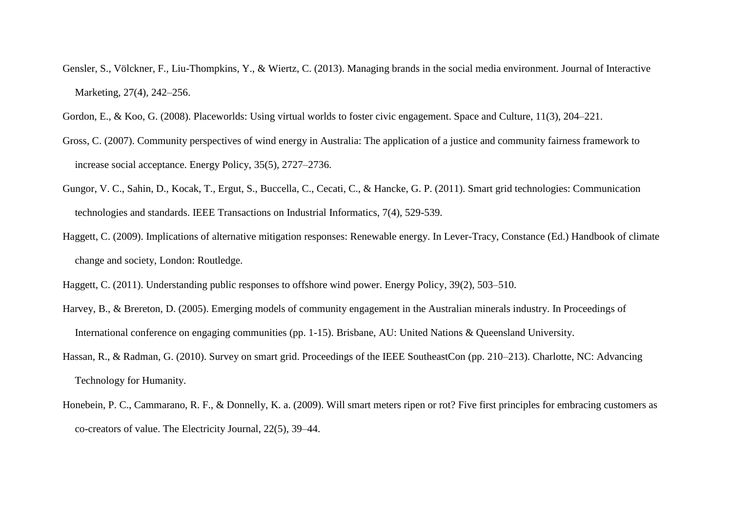Gensler, S., Völckner, F., Liu-Thompkins, Y., & Wiertz, C. (2013). Managing brands in the social media environment. Journal of Interactive Marketing, 27(4), 242–256.

Gordon, E., & Koo, G. (2008). Placeworlds: Using virtual worlds to foster civic engagement. Space and Culture, 11(3), 204–221.

- Gross, C. (2007). Community perspectives of wind energy in Australia: The application of a justice and community fairness framework to increase social acceptance. Energy Policy, 35(5), 2727–2736.
- Gungor, V. C., Sahin, D., Kocak, T., Ergut, S., Buccella, C., Cecati, C., & Hancke, G. P. (2011). Smart grid technologies: Communication technologies and standards. IEEE Transactions on Industrial Informatics, 7(4), 529-539.
- Haggett, C. (2009). Implications of alternative mitigation responses: Renewable energy. In Lever-Tracy, Constance (Ed.) Handbook of climate change and society, London: Routledge.

Haggett, C. (2011). Understanding public responses to offshore wind power. Energy Policy, 39(2), 503–510.

- Harvey, B., & Brereton, D. (2005). Emerging models of community engagement in the Australian minerals industry. In Proceedings of International conference on engaging communities (pp. 1-15). Brisbane, AU: United Nations & Queensland University.
- Hassan, R., & Radman, G. (2010). Survey on smart grid. Proceedings of the IEEE SoutheastCon (pp. 210–213). Charlotte, NC: Advancing Technology for Humanity.
- Honebein, P. C., Cammarano, R. F., & Donnelly, K. a. (2009). Will smart meters ripen or rot? Five first principles for embracing customers as co-creators of value. The Electricity Journal, 22(5), 39–44.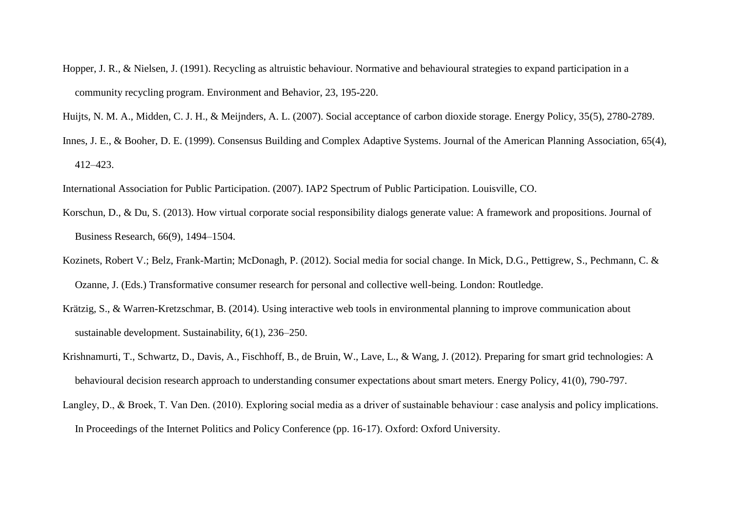- Hopper, J. R., & Nielsen, J. (1991). Recycling as altruistic behaviour. Normative and behavioural strategies to expand participation in a community recycling program. Environment and Behavior, 23, 195-220.
- Huijts, N. M. A., Midden, C. J. H., & Meijnders, A. L. (2007). Social acceptance of carbon dioxide storage. Energy Policy, 35(5), 2780-2789.
- Innes, J. E., & Booher, D. E. (1999). Consensus Building and Complex Adaptive Systems. Journal of the American Planning Association, 65(4), 412–423.

International Association for Public Participation. (2007). IAP2 Spectrum of Public Participation. Louisville, CO.

- Korschun, D., & Du, S. (2013). How virtual corporate social responsibility dialogs generate value: A framework and propositions. Journal of Business Research, 66(9), 1494–1504.
- Kozinets, Robert V.; Belz, Frank-Martin; McDonagh, P. (2012). Social media for social change. In Mick, D.G., Pettigrew, S., Pechmann, C. & Ozanne, J. (Eds.) Transformative consumer research for personal and collective well-being. London: Routledge.
- Krätzig, S., & Warren-Kretzschmar, B. (2014). Using interactive web tools in environmental planning to improve communication about sustainable development. Sustainability, 6(1), 236–250.
- Krishnamurti, T., Schwartz, D., Davis, A., Fischhoff, B., de Bruin, W., Lave, L., & Wang, J. (2012). Preparing for smart grid technologies: A behavioural decision research approach to understanding consumer expectations about smart meters. Energy Policy, 41(0), 790-797.
- Langley, D., & Broek, T. Van Den. (2010). Exploring social media as a driver of sustainable behaviour : case analysis and policy implications. In Proceedings of the Internet Politics and Policy Conference (pp. 16-17). Oxford: Oxford University.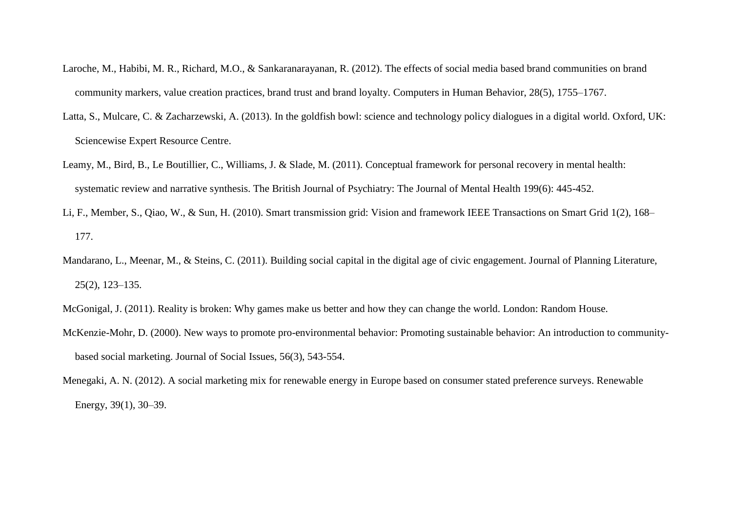- Laroche, M., Habibi, M. R., Richard, M.O., & Sankaranarayanan, R. (2012). The effects of social media based brand communities on brand community markers, value creation practices, brand trust and brand loyalty. Computers in Human Behavior, 28(5), 1755–1767.
- Latta, S., Mulcare, C. & Zacharzewski, A. (2013). In the goldfish bowl: science and technology policy dialogues in a digital world. Oxford, UK: Sciencewise Expert Resource Centre.
- Leamy, M., Bird, B., Le Boutillier, C., Williams, J. & Slade, M. (2011). Conceptual framework for personal recovery in mental health: systematic review and narrative synthesis. The British Journal of Psychiatry: The Journal of Mental Health 199(6): 445-452.
- Li, F., Member, S., Qiao, W., & Sun, H. (2010). Smart transmission grid: Vision and framework IEEE Transactions on Smart Grid 1(2), 168– 177.
- Mandarano, L., Meenar, M., & Steins, C. (2011). Building social capital in the digital age of civic engagement. Journal of Planning Literature, 25(2), 123–135.
- McGonigal, J. (2011). Reality is broken: Why games make us better and how they can change the world. London: Random House.
- McKenzie-Mohr, D. (2000). New ways to promote pro-environmental behavior: Promoting sustainable behavior: An introduction to communitybased social marketing. Journal of Social Issues, 56(3), 543-554.
- Menegaki, A. N. (2012). A social marketing mix for renewable energy in Europe based on consumer stated preference surveys. Renewable Energy, 39(1), 30–39.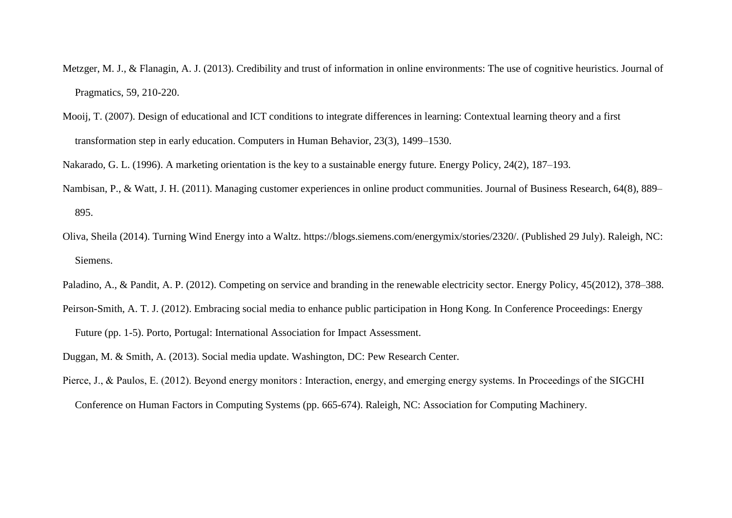- Metzger, M. J., & Flanagin, A. J. (2013). Credibility and trust of information in online environments: The use of cognitive heuristics. Journal of Pragmatics, 59, 210-220.
- Mooij, T. (2007). Design of educational and ICT conditions to integrate differences in learning: Contextual learning theory and a first transformation step in early education. Computers in Human Behavior, 23(3), 1499–1530.

Nakarado, G. L. (1996). A marketing orientation is the key to a sustainable energy future. Energy Policy, 24(2), 187–193.

- Nambisan, P., & Watt, J. H. (2011). Managing customer experiences in online product communities. Journal of Business Research, 64(8), 889– 895.
- Oliva, Sheila (2014). Turning Wind Energy into a Waltz. https://blogs.siemens.com/energymix/stories/2320/. (Published 29 July). Raleigh, NC: Siemens.
- Paladino, A., & Pandit, A. P. (2012). Competing on service and branding in the renewable electricity sector. Energy Policy, 45(2012), 378–388.
- Peirson-Smith, A. T. J. (2012). Embracing social media to enhance public participation in Hong Kong. In Conference Proceedings: Energy Future (pp. 1-5). Porto, Portugal: International Association for Impact Assessment.

Duggan, M. & Smith, A. (2013). Social media update. Washington, DC: Pew Research Center.

Pierce, J., & Paulos, E. (2012). Beyond energy monitors : Interaction, energy, and emerging energy systems. In Proceedings of the SIGCHI

Conference on Human Factors in Computing Systems (pp. 665-674). Raleigh, NC: Association for Computing Machinery.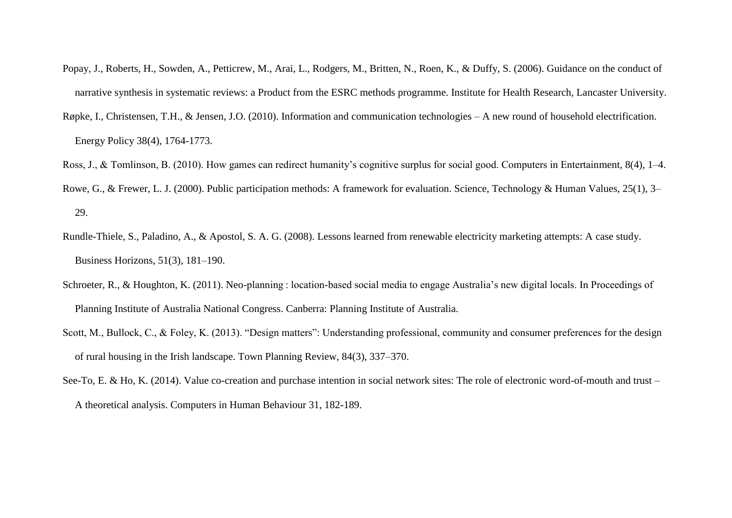- Popay, J., Roberts, H., Sowden, A., Petticrew, M., Arai, L., Rodgers, M., Britten, N., Roen, K., & Duffy, S. (2006). Guidance on the conduct of narrative synthesis in systematic reviews: a Product from the ESRC methods programme. Institute for Health Research, Lancaster University.
- Røpke, I., Christensen, T.H., & Jensen, J.O. (2010). Information and communication technologies A new round of household electrification. Energy Policy 38(4), 1764-1773.
- Ross, J., & Tomlinson, B. (2010). How games can redirect humanity's cognitive surplus for social good. Computers in Entertainment, 8(4), 1–4. Rowe, G., & Frewer, L. J. (2000). Public participation methods: A framework for evaluation. Science, Technology & Human Values, 25(1), 3– 29.
- Rundle-Thiele, S., Paladino, A., & Apostol, S. A. G. (2008). Lessons learned from renewable electricity marketing attempts: A case study. Business Horizons, 51(3), 181–190.
- Schroeter, R., & Houghton, K. (2011). Neo-planning : location-based social media to engage Australia's new digital locals. In Proceedings of Planning Institute of Australia National Congress. Canberra: Planning Institute of Australia.
- Scott, M., Bullock, C., & Foley, K. (2013). "Design matters": Understanding professional, community and consumer preferences for the design of rural housing in the Irish landscape. Town Planning Review, 84(3), 337–370.
- See-To, E. & Ho, K. (2014). Value co-creation and purchase intention in social network sites: The role of electronic word-of-mouth and trust A theoretical analysis. Computers in Human Behaviour 31, 182-189.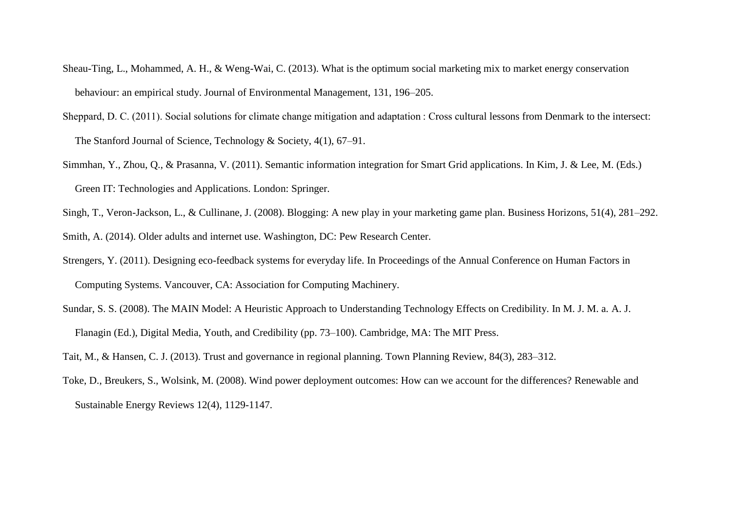- Sheau-Ting, L., Mohammed, A. H., & Weng-Wai, C. (2013). What is the optimum social marketing mix to market energy conservation behaviour: an empirical study. Journal of Environmental Management, 131, 196–205.
- Sheppard, D. C. (2011). Social solutions for climate change mitigation and adaptation : Cross cultural lessons from Denmark to the intersect: The Stanford Journal of Science, Technology & Society, 4(1), 67–91.
- Simmhan, Y., Zhou, Q., & Prasanna, V. (2011). Semantic information integration for Smart Grid applications. In Kim, J. & Lee, M. (Eds.) Green IT: Technologies and Applications. London: Springer.
- Singh, T., Veron-Jackson, L., & Cullinane, J. (2008). Blogging: A new play in your marketing game plan. Business Horizons, 51(4), 281–292. Smith, A. (2014). Older adults and internet use. Washington, DC: Pew Research Center.
- Strengers, Y. (2011). Designing eco-feedback systems for everyday life. In Proceedings of the Annual Conference on Human Factors in Computing Systems. Vancouver, CA: Association for Computing Machinery.
- Sundar, S. S. (2008). The MAIN Model: A Heuristic Approach to Understanding Technology Effects on Credibility. In M. J. M. a. A. J. Flanagin (Ed.), Digital Media, Youth, and Credibility (pp. 73–100). Cambridge, MA: The MIT Press.

Tait, M., & Hansen, C. J. (2013). Trust and governance in regional planning. Town Planning Review, 84(3), 283–312.

Toke, D., Breukers, S., Wolsink, M. (2008). Wind power deployment outcomes: How can we account for the differences? Renewable and Sustainable Energy Reviews 12(4), 1129-1147.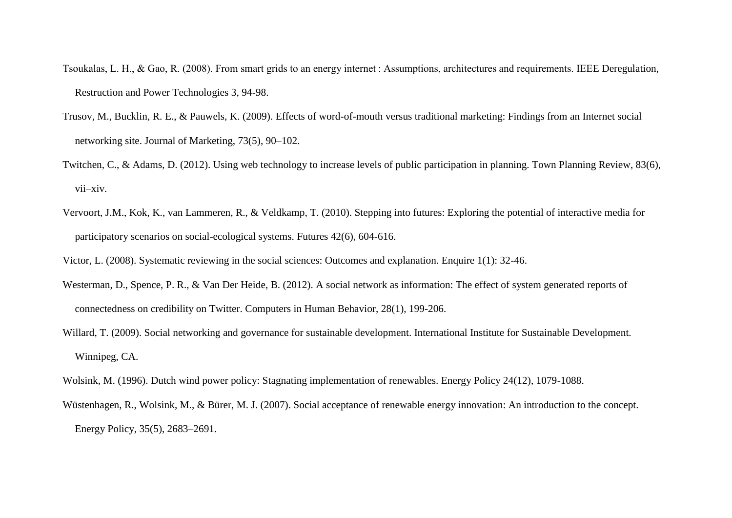- Tsoukalas, L. H., & Gao, R. (2008). From smart grids to an energy internet : Assumptions, architectures and requirements. IEEE Deregulation, Restruction and Power Technologies 3, 94-98.
- Trusov, M., Bucklin, R. E., & Pauwels, K. (2009). Effects of word-of-mouth versus traditional marketing: Findings from an Internet social networking site. Journal of Marketing, 73(5), 90–102.
- Twitchen, C., & Adams, D. (2012). Using web technology to increase levels of public participation in planning. Town Planning Review, 83(6), vii–xiv.
- Vervoort, J.M., Kok, K., van Lammeren, R., & Veldkamp, T. (2010). Stepping into futures: Exploring the potential of interactive media for participatory scenarios on social-ecological systems. Futures 42(6), 604-616.

Victor, L. (2008). Systematic reviewing in the social sciences: Outcomes and explanation. Enquire 1(1): 32-46.

- Westerman, D., Spence, P. R., & Van Der Heide, B. (2012). A social network as information: The effect of system generated reports of connectedness on credibility on Twitter. Computers in Human Behavior, 28(1), 199-206.
- Willard, T. (2009). Social networking and governance for sustainable development. International Institute for Sustainable Development. Winnipeg, CA.
- Wolsink, M. (1996). Dutch wind power policy: Stagnating implementation of renewables. Energy Policy 24(12), 1079-1088.
- Wüstenhagen, R., Wolsink, M., & Bürer, M. J. (2007). Social acceptance of renewable energy innovation: An introduction to the concept. Energy Policy, 35(5), 2683–2691.